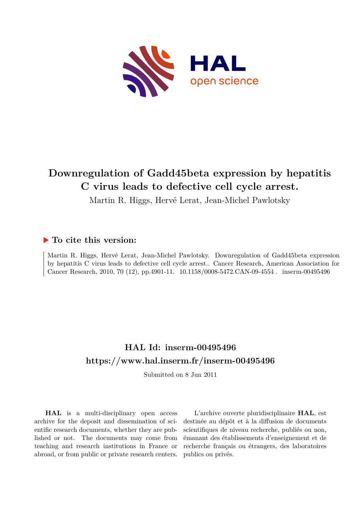

## **Downregulation of Gadd45beta expression by hepatitis C virus leads to defective cell cycle arrest.**

Martin R. Higgs, Hervé Lerat, Jean-Michel Pawlotsky

## **To cite this version:**

Martin R. Higgs, Hervé Lerat, Jean-Michel Pawlotsky. Downregulation of Gadd45beta expression by hepatitis C virus leads to defective cell cycle arrest.. Cancer Research, American Association for Cancer Research, 2010, 70 (12), pp.4901-11. 10.1158/0008-5472.CAN-09-4554. inserm-00495496

## **HAL Id: inserm-00495496 <https://www.hal.inserm.fr/inserm-00495496>**

Submitted on 8 Jun 2011

**HAL** is a multi-disciplinary open access archive for the deposit and dissemination of scientific research documents, whether they are published or not. The documents may come from teaching and research institutions in France or abroad, or from public or private research centers.

L'archive ouverte pluridisciplinaire **HAL**, est destinée au dépôt et à la diffusion de documents scientifiques de niveau recherche, publiés ou non, émanant des établissements d'enseignement et de recherche français ou étrangers, des laboratoires publics ou privés.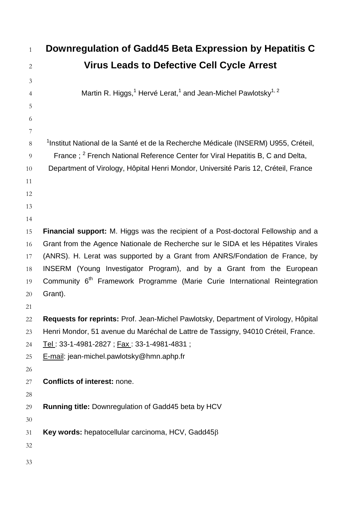| $\mathbf{1}$   | Downregulation of Gadd45 Beta Expression by Hepatitis C                                           |
|----------------|---------------------------------------------------------------------------------------------------|
| $\mathbf{2}$   | <b>Virus Leads to Defective Cell Cycle Arrest</b>                                                 |
| 3              |                                                                                                   |
| $\overline{4}$ | Martin R. Higgs, <sup>1</sup> Hervé Lerat, <sup>1</sup> and Jean-Michel Pawlotsky <sup>1, 2</sup> |
| 5              |                                                                                                   |
| 6              |                                                                                                   |
| 7              |                                                                                                   |
| 8              | <sup>1</sup> Institut National de la Santé et de la Recherche Médicale (INSERM) U955, Créteil,    |
| 9              | France; <sup>2</sup> French National Reference Center for Viral Hepatitis B, C and Delta,         |
| 10             | Department of Virology, Hôpital Henri Mondor, Université Paris 12, Créteil, France                |
| 11             |                                                                                                   |
| 12             |                                                                                                   |
| 13             |                                                                                                   |
| 14             |                                                                                                   |
| 15             | Financial support: M. Higgs was the recipient of a Post-doctoral Fellowship and a                 |
| 16             | Grant from the Agence Nationale de Recherche sur le SIDA et les Hépatites Virales                 |
| 17             | (ANRS). H. Lerat was supported by a Grant from ANRS/Fondation de France, by                       |
| 18             | INSERM (Young Investigator Program), and by a Grant from the European                             |
| 19             | Community 6 <sup>th</sup> Framework Programme (Marie Curie International Reintegration            |
| $20\,$         | Grant).                                                                                           |
| 21             |                                                                                                   |
| 22             | Requests for reprints: Prof. Jean-Michel Pawlotsky, Department of Virology, Hôpital               |
| 23             | Henri Mondor, 51 avenue du Maréchal de Lattre de Tassigny, 94010 Créteil, France.                 |
| 24             | Tel: 33-1-4981-2827 ; Fax: 33-1-4981-4831 ;                                                       |
| 25             | E-mail: jean-michel.pawlotsky@hmn.aphp.fr                                                         |
| 26             |                                                                                                   |
| 27             | <b>Conflicts of interest: none.</b>                                                               |
| 28             |                                                                                                   |
| 29             | <b>Running title: Downregulation of Gadd45 beta by HCV</b>                                        |
| $30\,$         |                                                                                                   |
| 31             | Key words: hepatocellular carcinoma, HCV, Gadd45 $\beta$                                          |
| 32             |                                                                                                   |
| 33             |                                                                                                   |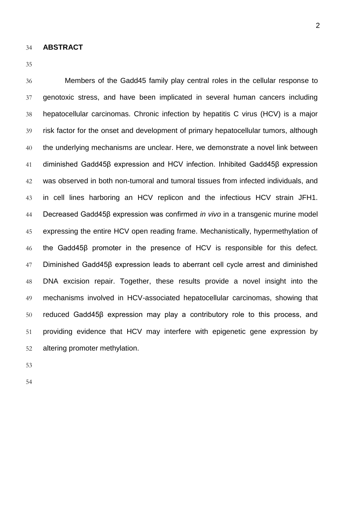**ABSTRACT**

 Members of the Gadd45 family play central roles in the cellular response to genotoxic stress, and have been implicated in several human cancers including hepatocellular carcinomas. Chronic infection by hepatitis C virus (HCV) is a major risk factor for the onset and development of primary hepatocellular tumors, although the underlying mechanisms are unclear. Here, we demonstrate a novel link between diminished Gadd45β expression and HCV infection. Inhibited Gadd45β expression was observed in both non-tumoral and tumoral tissues from infected individuals, and in cell lines harboring an HCV replicon and the infectious HCV strain JFH1. Decreased Gadd45β expression was confirmed *in vivo* in a transgenic murine model expressing the entire HCV open reading frame. Mechanistically, hypermethylation of the Gadd45β promoter in the presence of HCV is responsible for this defect. Diminished Gadd45β expression leads to aberrant cell cycle arrest and diminished DNA excision repair. Together, these results provide a novel insight into the mechanisms involved in HCV-associated hepatocellular carcinomas, showing that reduced Gadd45β expression may play a contributory role to this process, and providing evidence that HCV may interfere with epigenetic gene expression by altering promoter methylation.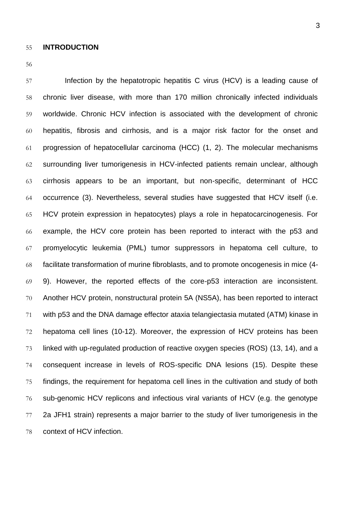Infection by the hepatotropic hepatitis C virus (HCV) is a leading cause of chronic liver disease, with more than 170 million chronically infected individuals worldwide. Chronic HCV infection is associated with the development of chronic hepatitis, fibrosis and cirrhosis, and is a major risk factor for the onset and progression of hepatocellular carcinoma (HCC) (1, 2). The molecular mechanisms surrounding liver tumorigenesis in HCV-infected patients remain unclear, although cirrhosis appears to be an important, but non-specific, determinant of HCC occurrence (3). Nevertheless, several studies have suggested that HCV itself (i.e. HCV protein expression in hepatocytes) plays a role in hepatocarcinogenesis. For example, the HCV core protein has been reported to interact with the p53 and promyelocytic leukemia (PML) tumor suppressors in hepatoma cell culture, to facilitate transformation of murine fibroblasts, and to promote oncogenesis in mice (4- 9). However, the reported effects of the core-p53 interaction are inconsistent. Another HCV protein, nonstructural protein 5A (NS5A), has been reported to interact with p53 and the DNA damage effector ataxia telangiectasia mutated (ATM) kinase in hepatoma cell lines (10-12). Moreover, the expression of HCV proteins has been linked with up-regulated production of reactive oxygen species (ROS) (13, 14), and a consequent increase in levels of ROS-specific DNA lesions (15). Despite these findings, the requirement for hepatoma cell lines in the cultivation and study of both sub-genomic HCV replicons and infectious viral variants of HCV (e.g. the genotype 2a JFH1 strain) represents a major barrier to the study of liver tumorigenesis in the context of HCV infection.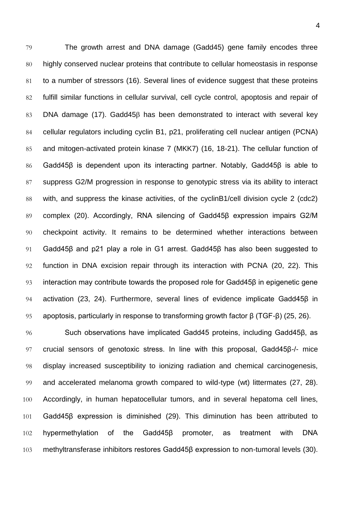The growth arrest and DNA damage (Gadd45) gene family encodes three highly conserved nuclear proteins that contribute to cellular homeostasis in response to a number of stressors (16). Several lines of evidence suggest that these proteins fulfill similar functions in cellular survival, cell cycle control, apoptosis and repair of 83 DNA damage (17). Gadd45 $\beta$  has been demonstrated to interact with several key cellular regulators including cyclin B1, p21, proliferating cell nuclear antigen (PCNA) and mitogen-activated protein kinase 7 (MKK7) (16, 18-21). The cellular function of Gadd45β is dependent upon its interacting partner. Notably, Gadd45β is able to suppress G2/M progression in response to genotypic stress via its ability to interact with, and suppress the kinase activities, of the cyclinB1/cell division cycle 2 (cdc2) 89 complex (20). Accordingly, RNA silencing of Gadd458 expression impairs G2/M checkpoint activity. It remains to be determined whether interactions between Gadd45β and p21 play a role in G1 arrest. Gadd45β has also been suggested to function in DNA excision repair through its interaction with PCNA (20, 22). This interaction may contribute towards the proposed role for Gadd45β in epigenetic gene activation (23, 24). Furthermore, several lines of evidence implicate Gadd45β in apoptosis, particularly in response to transforming growth factor β (TGF-β) (25, 26).

 Such observations have implicated Gadd45 proteins, including Gadd45β, as crucial sensors of genotoxic stress. In line with this proposal, Gadd45β-/- mice display increased susceptibility to ionizing radiation and chemical carcinogenesis, and accelerated melanoma growth compared to wild-type (wt) littermates (27, 28). Accordingly, in human hepatocellular tumors, and in several hepatoma cell lines, Gadd45β expression is diminished (29). This diminution has been attributed to hypermethylation of the Gadd45β promoter, as treatment with DNA methyltransferase inhibitors restores Gadd45β expression to non-tumoral levels (30).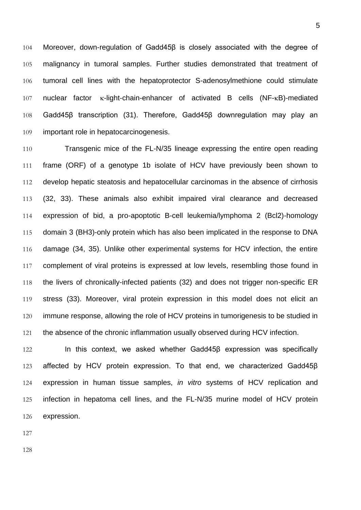Moreover, down-regulation of Gadd45β is closely associated with the degree of malignancy in tumoral samples. Further studies demonstrated that treatment of tumoral cell lines with the hepatoprotector S-adenosylmethione could stimulate nuclear factor  $\kappa$ -light-chain-enhancer of activated B cells (NF- $\kappa$ B)-mediated Gadd45β transcription (31). Therefore, Gadd45β downregulation may play an important role in hepatocarcinogenesis.

 Transgenic mice of the FL-N/35 lineage expressing the entire open reading frame (ORF) of a genotype 1b isolate of HCV have previously been shown to develop hepatic steatosis and hepatocellular carcinomas in the absence of cirrhosis (32, 33). These animals also exhibit impaired viral clearance and decreased expression of bid, a pro-apoptotic B-cell leukemia/lymphoma 2 (Bcl2)-homology domain 3 (BH3)-only protein which has also been implicated in the response to DNA damage (34, 35). Unlike other experimental systems for HCV infection, the entire 117 complement of viral proteins is expressed at low levels, resembling those found in the livers of chronically-infected patients (32) and does not trigger non-specific ER stress (33). Moreover, viral protein expression in this model does not elicit an 120 immune response, allowing the role of HCV proteins in tumorigenesis to be studied in 121 the absence of the chronic inflammation usually observed during HCV infection.

122 In this context, we asked whether Gadd45β expression was specifically affected by HCV protein expression. To that end, we characterized Gadd45β expression in human tissue samples, *in vitro* systems of HCV replication and infection in hepatoma cell lines, and the FL-N/35 murine model of HCV protein expression.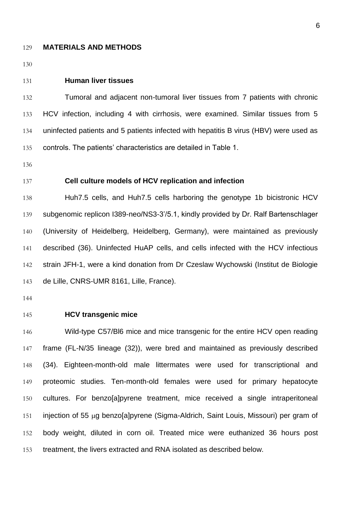#### **MATERIALS AND METHODS**

#### **Human liver tissues**

 Tumoral and adjacent non-tumoral liver tissues from 7 patients with chronic HCV infection, including 4 with cirrhosis, were examined. Similar tissues from 5 uninfected patients and 5 patients infected with hepatitis B virus (HBV) were used as controls. The patients' characteristics are detailed in Table 1.

### **Cell culture models of HCV replication and infection**

 Huh7.5 cells, and Huh7.5 cells harboring the genotype 1b bicistronic HCV subgenomic replicon I389-neo/NS3-3'/5.1, kindly provided by Dr. Ralf Bartenschlager (University of Heidelberg, Heidelberg, Germany), were maintained as previously described (36). Uninfected HuAP cells, and cells infected with the HCV infectious strain JFH-1, were a kind donation from Dr Czeslaw Wychowski (Institut de Biologie de Lille, CNRS-UMR 8161, Lille, France).

#### **HCV transgenic mice**

 Wild-type C57/Bl6 mice and mice transgenic for the entire HCV open reading frame (FL-N/35 lineage (32)), were bred and maintained as previously described (34). Eighteen-month-old male littermates were used for transcriptional and proteomic studies. Ten-month-old females were used for primary hepatocyte cultures. For benzo[a]pyrene treatment, mice received a single intraperitoneal 151 injection of 55  $\mu$ g benzo[a]pyrene (Sigma-Aldrich, Saint Louis, Missouri) per gram of body weight, diluted in corn oil. Treated mice were euthanized 36 hours post treatment, the livers extracted and RNA isolated as described below.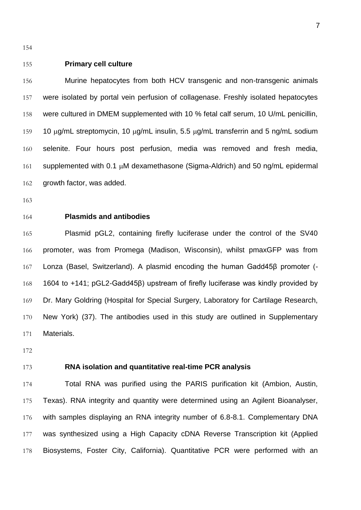### **Primary cell culture**

 Murine hepatocytes from both HCV transgenic and non-transgenic animals were isolated by portal vein perfusion of collagenase. Freshly isolated hepatocytes were cultured in DMEM supplemented with 10 % fetal calf serum, 10 U/mL penicillin, 159 10  $\mu$ g/mL streptomycin, 10  $\mu$ g/mL insulin, 5.5  $\mu$ g/mL transferrin and 5 ng/mL sodium selenite. Four hours post perfusion, media was removed and fresh media, 161 supplemented with 0.1  $\mu$ M dexamethasone (Sigma-Aldrich) and 50 ng/mL epidermal growth factor, was added.

**Plasmids and antibodies**

 Plasmid pGL2, containing firefly luciferase under the control of the SV40 promoter, was from Promega (Madison, Wisconsin), whilst pmaxGFP was from Lonza (Basel, Switzerland). A plasmid encoding the human Gadd45β promoter (- 1604 to +141; pGL2-Gadd45β) upstream of firefly luciferase was kindly provided by Dr. Mary Goldring (Hospital for Special Surgery, Laboratory for Cartilage Research, New York) (37). The antibodies used in this study are outlined in Supplementary Materials.

### **RNA isolation and quantitative real-time PCR analysis**

 Total RNA was purified using the PARIS purification kit (Ambion, Austin, Texas). RNA integrity and quantity were determined using an Agilent Bioanalyser, with samples displaying an RNA integrity number of 6.8-8.1. Complementary DNA was synthesized using a High Capacity cDNA Reverse Transcription kit (Applied Biosystems, Foster City, California). Quantitative PCR were performed with an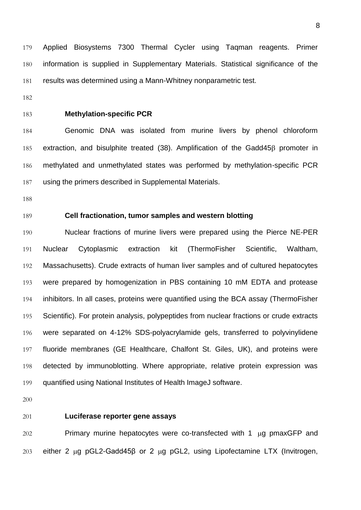Applied Biosystems 7300 Thermal Cycler using Taqman reagents. Primer information is supplied in Supplementary Materials. Statistical significance of the results was determined using a Mann-Whitney nonparametric test.

### **Methylation-specific PCR**

 Genomic DNA was isolated from murine livers by phenol chloroform 185 extraction, and bisulphite treated (38). Amplification of the Gadd45 $\beta$  promoter in methylated and unmethylated states was performed by methylation-specific PCR using the primers described in Supplemental Materials.

### **Cell fractionation, tumor samples and western blotting**

 Nuclear fractions of murine livers were prepared using the Pierce NE-PER Nuclear Cytoplasmic extraction kit (ThermoFisher Scientific, Waltham, Massachusetts). Crude extracts of human liver samples and of cultured hepatocytes were prepared by homogenization in PBS containing 10 mM EDTA and protease inhibitors. In all cases, proteins were quantified using the BCA assay (ThermoFisher 195 Scientific). For protein analysis, polypeptides from nuclear fractions or crude extracts were separated on 4-12% SDS-polyacrylamide gels, transferred to polyvinylidene fluoride membranes (GE Healthcare, Chalfont St. Giles, UK), and proteins were detected by immunoblotting. Where appropriate, relative protein expression was quantified using National Institutes of Health ImageJ software.

#### **Luciferase reporter gene assays**

 Primary murine hepatocytes were co-transfected with 1  $\mu$ g pmaxGFP and 203 either 2  $\mu$ g pGL2-Gadd45 $\beta$  or 2  $\mu$ g pGL2, using Lipofectamine LTX (Invitrogen,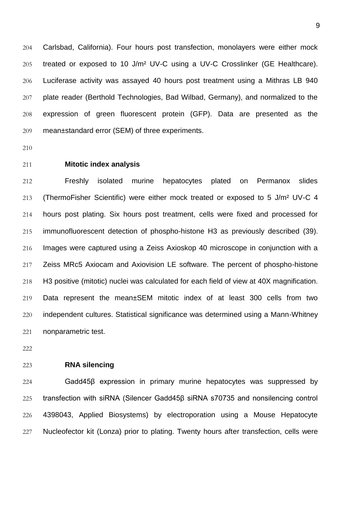Carlsbad, California). Four hours post transfection, monolayers were either mock treated or exposed to 10 J/m² UV-C using a UV-C Crosslinker (GE Healthcare). Luciferase activity was assayed 40 hours post treatment using a Mithras LB 940 plate reader (Berthold Technologies, Bad Wilbad, Germany), and normalized to the expression of green fluorescent protein (GFP). Data are presented as the mean±standard error (SEM) of three experiments.

- 
- **Mitotic index analysis**

 Freshly isolated murine hepatocytes plated on Permanox slides (ThermoFisher Scientific) were either mock treated or exposed to 5 J/m² UV-C 4 hours post plating. Six hours post treatment, cells were fixed and processed for immunofluorescent detection of phospho-histone H3 as previously described (39). Images were captured using a Zeiss Axioskop 40 microscope in conjunction with a Zeiss MRc5 Axiocam and Axiovision LE software. The percent of phospho-histone H3 positive (mitotic) nuclei was calculated for each field of view at 40X magnification. Data represent the mean±SEM mitotic index of at least 300 cells from two independent cultures. Statistical significance was determined using a Mann-Whitney nonparametric test.

### **RNA silencing**

 Gadd45β expression in primary murine hepatocytes was suppressed by transfection with siRNA (Silencer Gadd45β siRNA s70735 and nonsilencing control 4398043, Applied Biosystems) by electroporation using a Mouse Hepatocyte Nucleofector kit (Lonza) prior to plating. Twenty hours after transfection, cells were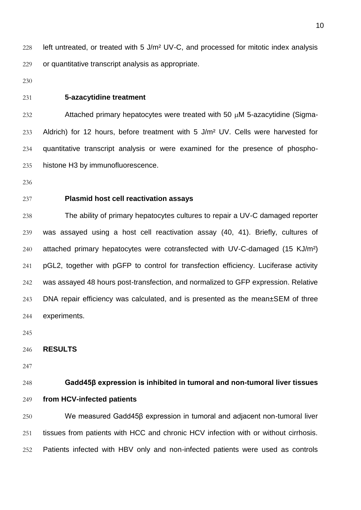228 left untreated, or treated with 5 J/m<sup>2</sup> UV-C, and processed for mitotic index analysis or quantitative transcript analysis as appropriate.

#### **5-azacytidine treatment**

 Attached primary hepatocytes were treated with 50  $\mu$ M 5-azacytidine (Sigma- Aldrich) for 12 hours, before treatment with 5 J/m² UV. Cells were harvested for quantitative transcript analysis or were examined for the presence of phospho-histone H3 by immunofluorescence.

### **Plasmid host cell reactivation assays**

 The ability of primary hepatocytes cultures to repair a UV-C damaged reporter was assayed using a host cell reactivation assay (40, 41). Briefly, cultures of 240 attached primary hepatocytes were cotransfected with UV-C-damaged (15 KJ/m<sup>2</sup>) pGL2, together with pGFP to control for transfection efficiency. Luciferase activity was assayed 48 hours post-transfection, and normalized to GFP expression. Relative DNA repair efficiency was calculated, and is presented as the mean±SEM of three experiments.

#### **RESULTS**

## **Gadd45β expression is inhibited in tumoral and non-tumoral liver tissues from HCV-infected patients**

 We measured Gadd45β expression in tumoral and adjacent non-tumoral liver tissues from patients with HCC and chronic HCV infection with or without cirrhosis. Patients infected with HBV only and non-infected patients were used as controls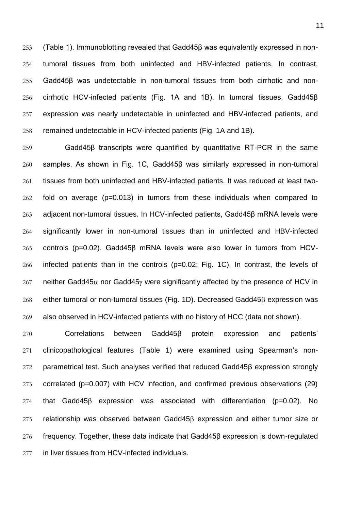(Table 1). Immunoblotting revealed that Gadd45β was equivalently expressed in non- tumoral tissues from both uninfected and HBV-infected patients. In contrast, Gadd45β was undetectable in non-tumoral tissues from both cirrhotic and non- cirrhotic HCV-infected patients (Fig. 1A and 1B). In tumoral tissues, Gadd45β expression was nearly undetectable in uninfected and HBV-infected patients, and remained undetectable in HCV-infected patients (Fig. 1A and 1B).

 Gadd45β transcripts were quantified by quantitative RT-PCR in the same samples. As shown in Fig. 1C, Gadd45β was similarly expressed in non-tumoral tissues from both uninfected and HBV-infected patients. It was reduced at least two- fold on average (p=0.013) in tumors from these individuals when compared to adjacent non-tumoral tissues. In HCV-infected patients, Gadd45β mRNA levels were significantly lower in non-tumoral tissues than in uninfected and HBV-infected controls (p=0.02). Gadd45β mRNA levels were also lower in tumors from HCV- infected patients than in the controls (p=0.02; Fig. 1C). In contrast, the levels of 267 neither Gadd45 $\alpha$  nor Gadd45 $\gamma$  were significantly affected by the presence of HCV in 268 either tumoral or non-tumoral tissues (Fig. 1D). Decreased Gadd45 $\beta$  expression was also observed in HCV-infected patients with no history of HCC (data not shown).

 Correlations between Gadd45β protein expression and patients' clinicopathological features (Table 1) were examined using Spearman's non- parametrical test. Such analyses verified that reduced Gadd45β expression strongly correlated (p=0.007) with HCV infection, and confirmed previous observations (29) that Gadd45 $\beta$  expression was associated with differentiation (p=0.02). No relationship was observed between Gadd45 $\beta$  expression and either tumor size or frequency. Together, these data indicate that Gadd45β expression is down-regulated in liver tissues from HCV-infected individuals.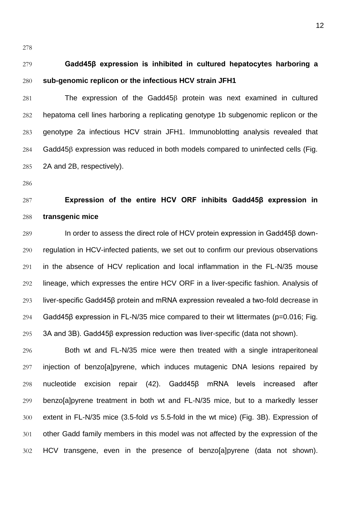# **Gadd45β expression is inhibited in cultured hepatocytes harboring a sub-genomic replicon or the infectious HCV strain JFH1**

 The expression of the Gadd45 $\beta$  protein was next examined in cultured hepatoma cell lines harboring a replicating genotype 1b subgenomic replicon or the genotype 2a infectious HCV strain JFH1. Immunoblotting analysis revealed that Gadd45 $\beta$  expression was reduced in both models compared to uninfected cells (Fig. 2A and 2B, respectively).

## **Expression of the entire HCV ORF inhibits Gadd45β expression in transgenic mice**

 In order to assess the direct role of HCV protein expression in Gadd45β down- regulation in HCV-infected patients, we set out to confirm our previous observations in the absence of HCV replication and local inflammation in the FL-N/35 mouse lineage, which expresses the entire HCV ORF in a liver-specific fashion. Analysis of liver-specific Gadd45β protein and mRNA expression revealed a two-fold decrease in Gadd45β expression in FL-N/35 mice compared to their wt littermates (p=0.016; Fig. 3A and 3B). Gadd45β expression reduction was liver-specific (data not shown).

 Both wt and FL-N/35 mice were then treated with a single intraperitoneal injection of benzo[a]pyrene, which induces mutagenic DNA lesions repaired by nucleotide excision repair (42). Gadd45β mRNA levels increased after benzo[a]pyrene treatment in both wt and FL-N/35 mice, but to a markedly lesser extent in FL-N/35 mice (3.5-fold *vs* 5.5-fold in the wt mice) (Fig. 3B). Expression of other Gadd family members in this model was not affected by the expression of the HCV transgene, even in the presence of benzo[a]pyrene (data not shown).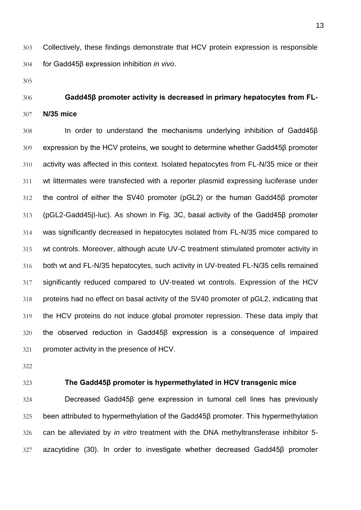Collectively, these findings demonstrate that HCV protein expression is responsible for Gadd45β expression inhibition *in vivo*.

## **Gadd45β promoter activity is decreased in primary hepatocytes from FL-N/35 mice**

 In order to understand the mechanisms underlying inhibition of Gadd45β expression by the HCV proteins, we sought to determine whether Gadd45β promoter activity was affected in this context. Isolated hepatocytes from FL-N/35 mice or their wt littermates were transfected with a reporter plasmid expressing luciferase under the control of either the SV40 promoter (pGL2) or the human Gadd45β promoter 313 (pGL2-Gadd45β-luc). As shown in Fig. 3C, basal activity of the Gadd45β promoter was significantly decreased in hepatocytes isolated from FL-N/35 mice compared to wt controls. Moreover, although acute UV-C treatment stimulated promoter activity in both wt and FL-N/35 hepatocytes, such activity in UV-treated FL-N/35 cells remained significantly reduced compared to UV-treated wt controls. Expression of the HCV proteins had no effect on basal activity of the SV40 promoter of pGL2, indicating that the HCV proteins do not induce global promoter repression. These data imply that the observed reduction in Gadd45β expression is a consequence of impaired promoter activity in the presence of HCV.

- 
- 

### **The Gadd45β promoter is hypermethylated in HCV transgenic mice**

 Decreased Gadd45β gene expression in tumoral cell lines has previously been attributed to hypermethylation of the Gadd45β promoter. This hypermethylation can be alleviated by *in vitro* treatment with the DNA methyltransferase inhibitor 5- azacytidine (30). In order to investigate whether decreased Gadd45β promoter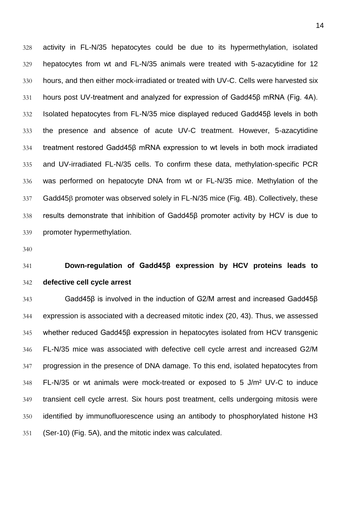activity in FL-N/35 hepatocytes could be due to its hypermethylation, isolated hepatocytes from wt and FL-N/35 animals were treated with 5-azacytidine for 12 hours, and then either mock-irradiated or treated with UV-C. Cells were harvested six hours post UV-treatment and analyzed for expression of Gadd45β mRNA (Fig. 4A). Isolated hepatocytes from FL-N/35 mice displayed reduced Gadd45β levels in both the presence and absence of acute UV-C treatment. However, 5-azacytidine treatment restored Gadd45β mRNA expression to wt levels in both mock irradiated and UV-irradiated FL-N/35 cells. To confirm these data, methylation-specific PCR was performed on hepatocyte DNA from wt or FL-N/35 mice. Methylation of the 337 Gadd458 promoter was observed solely in FL-N/35 mice (Fig. 4B). Collectively, these results demonstrate that inhibition of Gadd45β promoter activity by HCV is due to promoter hypermethylation.

## **Down-regulation of Gadd45β expression by HCV proteins leads to defective cell cycle arrest**

 Gadd45β is involved in the induction of G2/M arrest and increased Gadd45β expression is associated with a decreased mitotic index (20, 43). Thus, we assessed whether reduced Gadd45β expression in hepatocytes isolated from HCV transgenic FL-N/35 mice was associated with defective cell cycle arrest and increased G2/M progression in the presence of DNA damage. To this end, isolated hepatocytes from FL-N/35 or wt animals were mock-treated or exposed to 5 J/m² UV-C to induce transient cell cycle arrest. Six hours post treatment, cells undergoing mitosis were identified by immunofluorescence using an antibody to phosphorylated histone H3 (Ser-10) (Fig. 5A), and the mitotic index was calculated.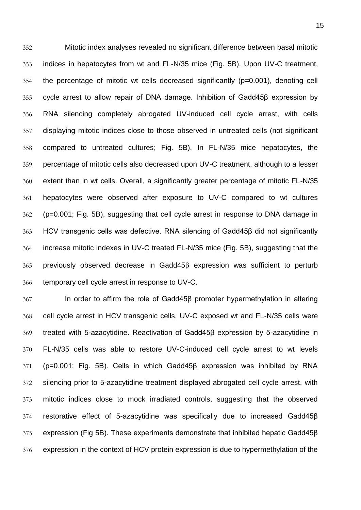Mitotic index analyses revealed no significant difference between basal mitotic indices in hepatocytes from wt and FL-N/35 mice (Fig. 5B). Upon UV-C treatment, the percentage of mitotic wt cells decreased significantly (p=0.001), denoting cell cycle arrest to allow repair of DNA damage. Inhibition of Gadd45β expression by RNA silencing completely abrogated UV-induced cell cycle arrest, with cells displaying mitotic indices close to those observed in untreated cells (not significant compared to untreated cultures; Fig. 5B). In FL-N/35 mice hepatocytes, the percentage of mitotic cells also decreased upon UV-C treatment, although to a lesser extent than in wt cells. Overall, a significantly greater percentage of mitotic FL-N/35 hepatocytes were observed after exposure to UV-C compared to wt cultures (p=0.001; Fig. 5B), suggesting that cell cycle arrest in response to DNA damage in HCV transgenic cells was defective. RNA silencing of Gadd45β did not significantly increase mitotic indexes in UV-C treated FL-N/35 mice (Fig. 5B), suggesting that the previously observed decrease in Gadd45 $\beta$  expression was sufficient to perturb temporary cell cycle arrest in response to UV-C.

 In order to affirm the role of Gadd45β promoter hypermethylation in altering cell cycle arrest in HCV transgenic cells, UV-C exposed wt and FL-N/35 cells were treated with 5-azacytidine. Reactivation of Gadd45β expression by 5-azacytidine in FL-N/35 cells was able to restore UV-C-induced cell cycle arrest to wt levels (p=0.001; Fig. 5B). Cells in which Gadd45β expression was inhibited by RNA silencing prior to 5-azacytidine treatment displayed abrogated cell cycle arrest, with mitotic indices close to mock irradiated controls, suggesting that the observed restorative effect of 5-azacytidine was specifically due to increased Gadd45β expression (Fig 5B). These experiments demonstrate that inhibited hepatic Gadd45β expression in the context of HCV protein expression is due to hypermethylation of the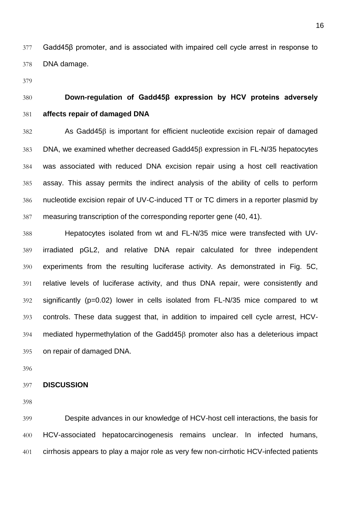Gadd45β promoter, and is associated with impaired cell cycle arrest in response to DNA damage.

## **Down-regulation of Gadd45β expression by HCV proteins adversely affects repair of damaged DNA**

 As Gadd45 $\beta$  is important for efficient nucleotide excision repair of damaged DNA, we examined whether decreased Gadd45 $\beta$  expression in FL-N/35 hepatocytes was associated with reduced DNA excision repair using a host cell reactivation assay. This assay permits the indirect analysis of the ability of cells to perform nucleotide excision repair of UV-C-induced TT or TC dimers in a reporter plasmid by measuring transcription of the corresponding reporter gene (40, 41).

 Hepatocytes isolated from wt and FL-N/35 mice were transfected with UV- irradiated pGL2, and relative DNA repair calculated for three independent experiments from the resulting luciferase activity. As demonstrated in Fig. 5C, relative levels of luciferase activity, and thus DNA repair, were consistently and significantly (p=0.02) lower in cells isolated from FL-N/35 mice compared to wt controls. These data suggest that, in addition to impaired cell cycle arrest, HCV-394 mediated hypermethylation of the Gadd45<sup>β</sup> promoter also has a deleterious impact on repair of damaged DNA.

#### **DISCUSSION**

 Despite advances in our knowledge of HCV-host cell interactions, the basis for HCV-associated hepatocarcinogenesis remains unclear. In infected humans, cirrhosis appears to play a major role as very few non-cirrhotic HCV-infected patients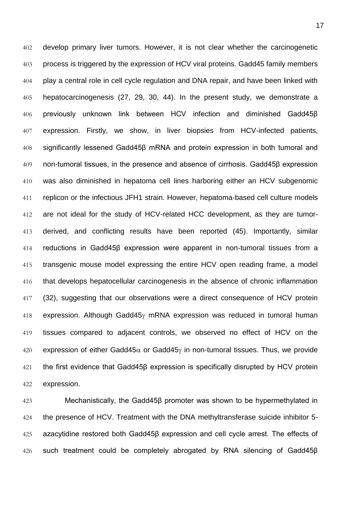develop primary liver tumors. However, it is not clear whether the carcinogenetic 403 process is triggered by the expression of HCV viral proteins. Gadd45 family members play a central role in cell cycle regulation and DNA repair, and have been linked with hepatocarcinogenesis (27, 29, 30, 44). In the present study, we demonstrate a previously unknown link between HCV infection and diminished Gadd45β expression. Firstly, we show, in liver biopsies from HCV-infected patients, significantly lessened Gadd45β mRNA and protein expression in both tumoral and non-tumoral tissues, in the presence and absence of cirrhosis. Gadd45β expression was also diminished in hepatoma cell lines harboring either an HCV subgenomic replicon or the infectious JFH1 strain. However, hepatoma-based cell culture models are not ideal for the study of HCV-related HCC development, as they are tumor- derived, and conflicting results have been reported (45). Importantly, similar reductions in Gadd45β expression were apparent in non-tumoral tissues from a transgenic mouse model expressing the entire HCV open reading frame, a model that develops hepatocellular carcinogenesis in the absence of chronic inflammation (32), suggesting that our observations were a direct consequence of HCV protein 418 expression. Although Gadd45 $\gamma$  mRNA expression was reduced in tumoral human tissues compared to adjacent controls, we observed no effect of HCV on the 420 expression of either Gadd45 $\alpha$  or Gadd45 $\gamma$  in non-tumoral tissues. Thus, we provide the first evidence that Gadd45β expression is specifically disrupted by HCV protein expression.

 Mechanistically, the Gadd45β promoter was shown to be hypermethylated in 424 the presence of HCV. Treatment with the DNA methyltransferase suicide inhibitor 5- azacytidine restored both Gadd45β expression and cell cycle arrest. The effects of such treatment could be completely abrogated by RNA silencing of Gadd45β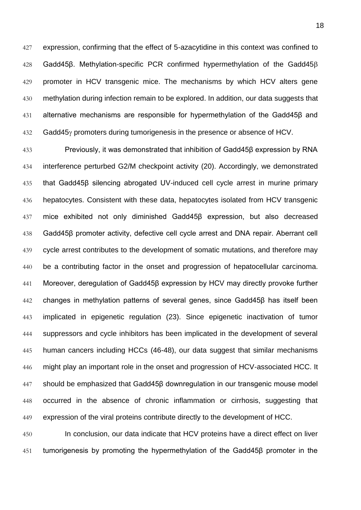expression, confirming that the effect of 5-azacytidine in this context was confined to Gadd45β. Methylation-specific PCR confirmed hypermethylation of the Gadd45 promoter in HCV transgenic mice. The mechanisms by which HCV alters gene methylation during infection remain to be explored. In addition, our data suggests that alternative mechanisms are responsible for hypermethylation of the Gadd45β and 432 Gadd45 *promoters during tumorigenesis in the presence or absence of HCV.* 

 Previously, it was demonstrated that inhibition of Gadd45β expression by RNA interference perturbed G2/M checkpoint activity (20). Accordingly, we demonstrated that Gadd45β silencing abrogated UV-induced cell cycle arrest in murine primary hepatocytes. Consistent with these data, hepatocytes isolated from HCV transgenic mice exhibited not only diminished Gadd45β expression, but also decreased Gadd45β promoter activity, defective cell cycle arrest and DNA repair. Aberrant cell 439 cycle arrest contributes to the development of somatic mutations, and therefore may be a contributing factor in the onset and progression of hepatocellular carcinoma. Moreover, deregulation of Gadd45β expression by HCV may directly provoke further changes in methylation patterns of several genes, since Gadd45β has itself been implicated in epigenetic regulation (23). Since epigenetic inactivation of tumor suppressors and cycle inhibitors has been implicated in the development of several human cancers including HCCs (46-48), our data suggest that similar mechanisms 446 might play an important role in the onset and progression of HCV-associated HCC. It should be emphasized that Gadd45β downregulation in our transgenic mouse model occurred in the absence of chronic inflammation or cirrhosis, suggesting that expression of the viral proteins contribute directly to the development of HCC.

 In conclusion, our data indicate that HCV proteins have a direct effect on liver tumorigenesis by promoting the hypermethylation of the Gadd45β promoter in the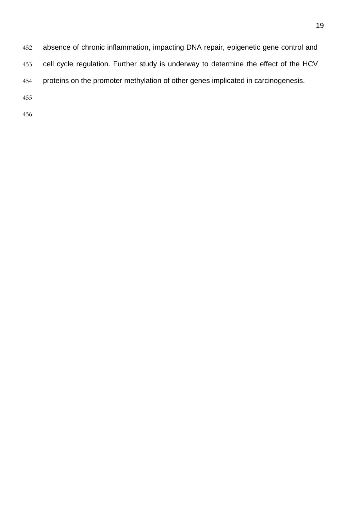absence of chronic inflammation, impacting DNA repair, epigenetic gene control and cell cycle regulation. Further study is underway to determine the effect of the HCV proteins on the promoter methylation of other genes implicated in carcinogenesis.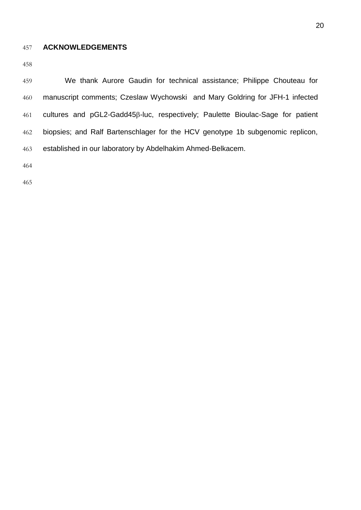### **ACKNOWLEDGEMENTS**

 We thank Aurore Gaudin for technical assistance; Philippe Chouteau for manuscript comments; Czeslaw Wychowski and Mary Goldring for JFH-1 infected 461 cultures and pGL2-Gadd45β-luc, respectively; Paulette Bioulac-Sage for patient biopsies; and Ralf Bartenschlager for the HCV genotype 1b subgenomic replicon, established in our laboratory by Abdelhakim Ahmed-Belkacem.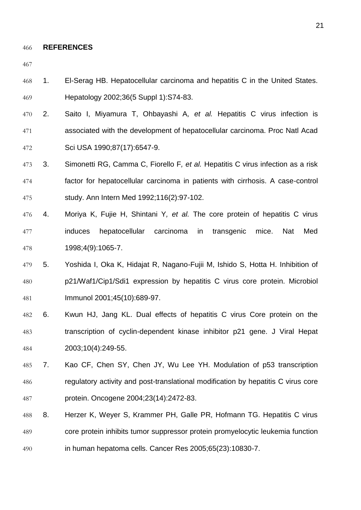#### **REFERENCES**

- 1. El-Serag HB. Hepatocellular carcinoma and hepatitis C in the United States. Hepatology 2002;36(5 Suppl 1):S74-83.
- 2. Saito I, Miyamura T, Ohbayashi A*, et al.* Hepatitis C virus infection is associated with the development of hepatocellular carcinoma. Proc Natl Acad Sci USA 1990;87(17):6547-9.
- 3. Simonetti RG, Camma C, Fiorello F*, et al.* Hepatitis C virus infection as a risk factor for hepatocellular carcinoma in patients with cirrhosis. A case-control study. Ann Intern Med 1992;116(2):97-102.
- 4. Moriya K, Fujie H, Shintani Y*, et al.* The core protein of hepatitis C virus induces hepatocellular carcinoma in transgenic mice. Nat Med 1998;4(9):1065-7.
- 5. Yoshida I, Oka K, Hidajat R, Nagano-Fujii M, Ishido S, Hotta H. Inhibition of p21/Waf1/Cip1/Sdi1 expression by hepatitis C virus core protein. Microbiol Immunol 2001;45(10):689-97.
- 6. Kwun HJ, Jang KL. Dual effects of hepatitis C virus Core protein on the transcription of cyclin-dependent kinase inhibitor p21 gene. J Viral Hepat 2003;10(4):249-55.
- 7. Kao CF, Chen SY, Chen JY, Wu Lee YH. Modulation of p53 transcription regulatory activity and post-translational modification by hepatitis C virus core protein. Oncogene 2004;23(14):2472-83.
- 8. Herzer K, Weyer S, Krammer PH, Galle PR, Hofmann TG. Hepatitis C virus core protein inhibits tumor suppressor protein promyelocytic leukemia function in human hepatoma cells. Cancer Res 2005;65(23):10830-7.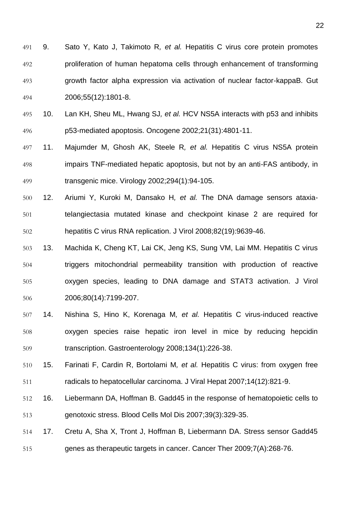- 9. Sato Y, Kato J, Takimoto R*, et al.* Hepatitis C virus core protein promotes proliferation of human hepatoma cells through enhancement of transforming growth factor alpha expression via activation of nuclear factor-kappaB. Gut 2006;55(12):1801-8.
- 10. Lan KH, Sheu ML, Hwang SJ*, et al.* HCV NS5A interacts with p53 and inhibits p53-mediated apoptosis. Oncogene 2002;21(31):4801-11.
- 11. Majumder M, Ghosh AK, Steele R*, et al.* Hepatitis C virus NS5A protein impairs TNF-mediated hepatic apoptosis, but not by an anti-FAS antibody, in transgenic mice. Virology 2002;294(1):94-105.
- 12. Ariumi Y, Kuroki M, Dansako H*, et al.* The DNA damage sensors ataxia- telangiectasia mutated kinase and checkpoint kinase 2 are required for hepatitis C virus RNA replication. J Virol 2008;82(19):9639-46.
- 13. Machida K, Cheng KT, Lai CK, Jeng KS, Sung VM, Lai MM. Hepatitis C virus triggers mitochondrial permeability transition with production of reactive oxygen species, leading to DNA damage and STAT3 activation. J Virol 2006;80(14):7199-207.
- 14. Nishina S, Hino K, Korenaga M*, et al.* Hepatitis C virus-induced reactive oxygen species raise hepatic iron level in mice by reducing hepcidin transcription. Gastroenterology 2008;134(1):226-38.
- 15. Farinati F, Cardin R, Bortolami M*, et al.* Hepatitis C virus: from oxygen free radicals to hepatocellular carcinoma. J Viral Hepat 2007;14(12):821-9.
- 16. Liebermann DA, Hoffman B. Gadd45 in the response of hematopoietic cells to genotoxic stress. Blood Cells Mol Dis 2007;39(3):329-35.
- 17. Cretu A, Sha X, Tront J, Hoffman B, Liebermann DA. Stress sensor Gadd45 genes as therapeutic targets in cancer. Cancer Ther 2009;7(A):268-76.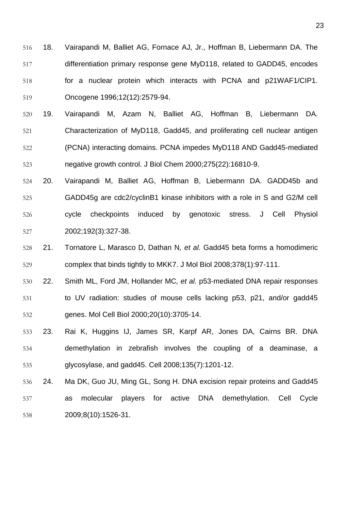- 18. Vairapandi M, Balliet AG, Fornace AJ, Jr., Hoffman B, Liebermann DA. The differentiation primary response gene MyD118, related to GADD45, encodes for a nuclear protein which interacts with PCNA and p21WAF1/CIP1. Oncogene 1996;12(12):2579-94.
- 19. Vairapandi M, Azam N, Balliet AG, Hoffman B, Liebermann DA. Characterization of MyD118, Gadd45, and proliferating cell nuclear antigen (PCNA) interacting domains. PCNA impedes MyD118 AND Gadd45-mediated negative growth control. J Biol Chem 2000;275(22):16810-9.
- 20. Vairapandi M, Balliet AG, Hoffman B, Liebermann DA. GADD45b and GADD45g are cdc2/cyclinB1 kinase inhibitors with a role in S and G2/M cell cycle checkpoints induced by genotoxic stress. J Cell Physiol 2002;192(3):327-38.
- 21. Tornatore L, Marasco D, Dathan N*, et al.* Gadd45 beta forms a homodimeric complex that binds tightly to MKK7. J Mol Biol 2008;378(1):97-111.
- 22. Smith ML, Ford JM, Hollander MC*, et al.* p53-mediated DNA repair responses to UV radiation: studies of mouse cells lacking p53, p21, and/or gadd45 genes. Mol Cell Biol 2000;20(10):3705-14.
- 23. Rai K, Huggins IJ, James SR, Karpf AR, Jones DA, Cairns BR. DNA demethylation in zebrafish involves the coupling of a deaminase, a glycosylase, and gadd45. Cell 2008;135(7):1201-12.
- 24. Ma DK, Guo JU, Ming GL, Song H. DNA excision repair proteins and Gadd45 as molecular players for active DNA demethylation. Cell Cycle 2009;8(10):1526-31.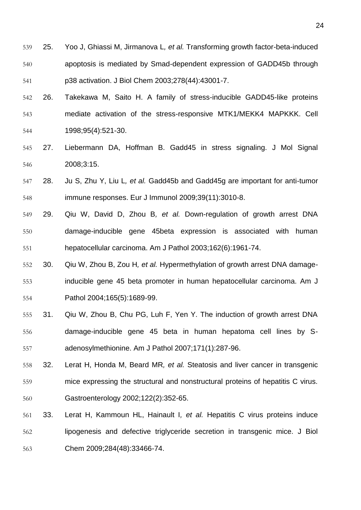- 25. Yoo J, Ghiassi M, Jirmanova L*, et al.* Transforming growth factor-beta-induced apoptosis is mediated by Smad-dependent expression of GADD45b through p38 activation. J Biol Chem 2003;278(44):43001-7.
- 26. Takekawa M, Saito H. A family of stress-inducible GADD45-like proteins mediate activation of the stress-responsive MTK1/MEKK4 MAPKKK. Cell 1998;95(4):521-30.
- 27. Liebermann DA, Hoffman B. Gadd45 in stress signaling. J Mol Signal 2008;3:15.
- 28. Ju S, Zhu Y, Liu L*, et al.* Gadd45b and Gadd45g are important for anti-tumor immune responses. Eur J Immunol 2009;39(11):3010-8.
- 29. Qiu W, David D, Zhou B*, et al.* Down-regulation of growth arrest DNA damage-inducible gene 45beta expression is associated with human hepatocellular carcinoma. Am J Pathol 2003;162(6):1961-74.
- 30. Qiu W, Zhou B, Zou H*, et al.* Hypermethylation of growth arrest DNA damage- inducible gene 45 beta promoter in human hepatocellular carcinoma. Am J Pathol 2004;165(5):1689-99.
- 31. Qiu W, Zhou B, Chu PG, Luh F, Yen Y. The induction of growth arrest DNA damage-inducible gene 45 beta in human hepatoma cell lines by S-adenosylmethionine. Am J Pathol 2007;171(1):287-96.
- 32. Lerat H, Honda M, Beard MR*, et al.* Steatosis and liver cancer in transgenic mice expressing the structural and nonstructural proteins of hepatitis C virus. Gastroenterology 2002;122(2):352-65.
- 33. Lerat H, Kammoun HL, Hainault I*, et al.* Hepatitis C virus proteins induce lipogenesis and defective triglyceride secretion in transgenic mice. J Biol Chem 2009;284(48):33466-74.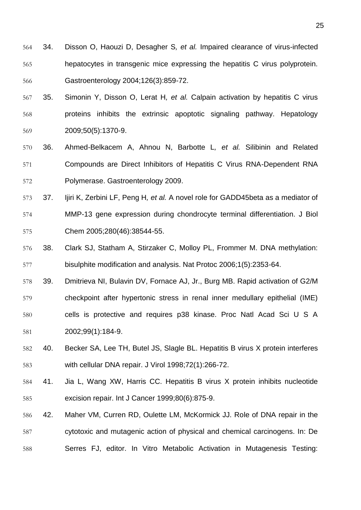- 34. Disson O, Haouzi D, Desagher S*, et al.* Impaired clearance of virus-infected hepatocytes in transgenic mice expressing the hepatitis C virus polyprotein. Gastroenterology 2004;126(3):859-72.
- 35. Simonin Y, Disson O, Lerat H*, et al.* Calpain activation by hepatitis C virus proteins inhibits the extrinsic apoptotic signaling pathway. Hepatology 2009;50(5):1370-9.
- 36. Ahmed-Belkacem A, Ahnou N, Barbotte L*, et al.* Silibinin and Related Compounds are Direct Inhibitors of Hepatitis C Virus RNA-Dependent RNA Polymerase. Gastroenterology 2009.
- 37. Ijiri K, Zerbini LF, Peng H*, et al.* A novel role for GADD45beta as a mediator of MMP-13 gene expression during chondrocyte terminal differentiation. J Biol Chem 2005;280(46):38544-55.
- 38. Clark SJ, Statham A, Stirzaker C, Molloy PL, Frommer M. DNA methylation: bisulphite modification and analysis. Nat Protoc 2006;1(5):2353-64.
- 39. Dmitrieva NI, Bulavin DV, Fornace AJ, Jr., Burg MB. Rapid activation of G2/M checkpoint after hypertonic stress in renal inner medullary epithelial (IME) cells is protective and requires p38 kinase. Proc Natl Acad Sci U S A 2002;99(1):184-9.
- 40. Becker SA, Lee TH, Butel JS, Slagle BL. Hepatitis B virus X protein interferes with cellular DNA repair. J Virol 1998;72(1):266-72.
- 41. Jia L, Wang XW, Harris CC. Hepatitis B virus X protein inhibits nucleotide excision repair. Int J Cancer 1999;80(6):875-9.
- 42. Maher VM, Curren RD, Oulette LM, McKormick JJ. Role of DNA repair in the cytotoxic and mutagenic action of physical and chemical carcinogens. In: De Serres FJ, editor. In Vitro Metabolic Activation in Mutagenesis Testing: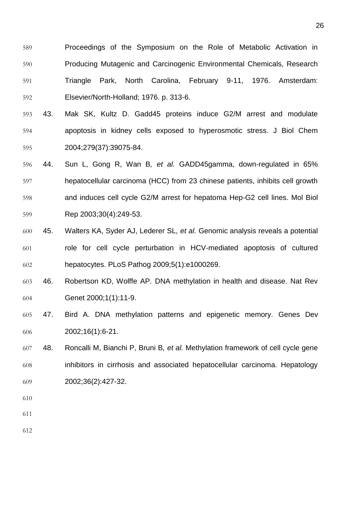- Proceedings of the Symposium on the Role of Metabolic Activation in Producing Mutagenic and Carcinogenic Environmental Chemicals, Research Triangle Park, North Carolina, February 9-11, 1976. Amsterdam: Elsevier/North-Holland; 1976. p. 313-6.
- 43. Mak SK, Kultz D. Gadd45 proteins induce G2/M arrest and modulate apoptosis in kidney cells exposed to hyperosmotic stress. J Biol Chem 2004;279(37):39075-84.
- 44. Sun L, Gong R, Wan B*, et al.* GADD45gamma, down-regulated in 65% hepatocellular carcinoma (HCC) from 23 chinese patients, inhibits cell growth and induces cell cycle G2/M arrest for hepatoma Hep-G2 cell lines. Mol Biol Rep 2003;30(4):249-53.
- 45. Walters KA, Syder AJ, Lederer SL*, et al.* Genomic analysis reveals a potential role for cell cycle perturbation in HCV-mediated apoptosis of cultured hepatocytes. PLoS Pathog 2009;5(1):e1000269.
- 46. Robertson KD, Wolffe AP. DNA methylation in health and disease. Nat Rev Genet 2000;1(1):11-9.
- 47. Bird A. DNA methylation patterns and epigenetic memory. Genes Dev 2002;16(1):6-21.
- 48. Roncalli M, Bianchi P, Bruni B*, et al.* Methylation framework of cell cycle gene inhibitors in cirrhosis and associated hepatocellular carcinoma. Hepatology 2002;36(2):427-32.
- 
- 
-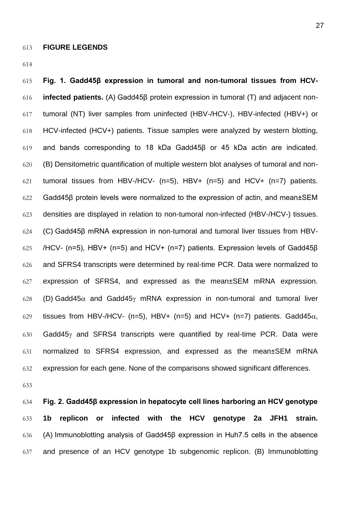**Fig. 1. Gadd45β expression in tumoral and non-tumoral tissues from HCV- infected patients.** (A) Gadd45β protein expression in tumoral (T) and adjacent non- tumoral (NT) liver samples from uninfected (HBV-/HCV-), HBV-infected (HBV+) or HCV-infected (HCV+) patients. Tissue samples were analyzed by western blotting, and bands corresponding to 18 kDa Gadd45β or 45 kDa actin are indicated. (B) Densitometric quantification of multiple western blot analyses of tumoral and non-621 tumoral tissues from HBV-/HCV-  $(n=5)$ , HBV+  $(n=5)$  and HCV+  $(n=7)$  patients. Gadd45β protein levels were normalized to the expression of actin, and mean±SEM densities are displayed in relation to non-tumoral non-infected (HBV-/HCV-) tissues. (C) Gadd45β mRNA expression in non-tumoral and tumoral liver tissues from HBV- /HCV- (n=5), HBV+ (n=5) and HCV+ (n=7) patients. Expression levels of Gadd45β and SFRS4 transcripts were determined by real-time PCR. Data were normalized to expression of SFRS4, and expressed as the mean±SEM mRNA expression. 628 (D) Gadd45 $\alpha$  and Gadd45 $\gamma$  mRNA expression in non-tumoral and tumoral liver 629 tissues from HBV-/HCV- (n=5), HBV+ (n=5) and HCV+ (n=7) patients. Gadd45 $\alpha$ , 630 Gadd45 $\gamma$  and SFRS4 transcripts were quantified by real-time PCR. Data were normalized to SFRS4 expression, and expressed as the mean±SEM mRNA expression for each gene. None of the comparisons showed significant differences.

 **Fig. 2. Gadd45β expression in hepatocyte cell lines harboring an HCV genotype 1b replicon or infected with the HCV genotype 2a JFH1 strain.**  (A) Immunoblotting analysis of Gadd45β expression in Huh7.5 cells in the absence and presence of an HCV genotype 1b subgenomic replicon. (B) Immunoblotting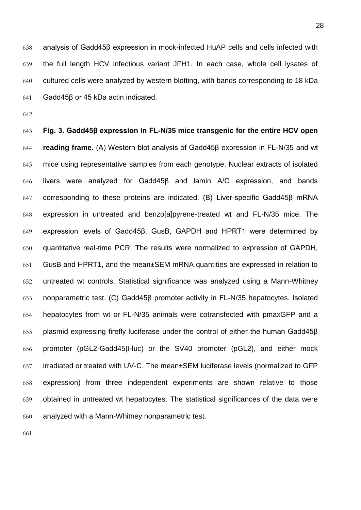analysis of Gadd45β expression in mock-infected HuAP cells and cells infected with the full length HCV infectious variant JFH1. In each case, whole cell lysates of cultured cells were analyzed by western blotting, with bands corresponding to 18 kDa Gadd45β or 45 kDa actin indicated.

 **Fig. 3. Gadd45β expression in FL-N/35 mice transgenic for the entire HCV open reading frame.** (A) Western blot analysis of Gadd45β expression in FL-N/35 and wt mice using representative samples from each genotype. Nuclear extracts of isolated livers were analyzed for Gadd45β and lamin A/C expression, and bands corresponding to these proteins are indicated. (B) Liver-specific Gadd45β mRNA expression in untreated and benzo[a]pyrene-treated wt and FL-N/35 mice. The expression levels of Gadd45β, GusB, GAPDH and HPRT1 were determined by quantitative real-time PCR. The results were normalized to expression of GAPDH, GusB and HPRT1, and the mean±SEM mRNA quantities are expressed in relation to untreated wt controls. Statistical significance was analyzed using a Mann-Whitney nonparametric test. (C) Gadd45β promoter activity in FL-N/35 hepatocytes. Isolated hepatocytes from wt or FL-N/35 animals were cotransfected with pmaxGFP and a plasmid expressing firefly luciferase under the control of either the human Gadd45β 656 promoter (pGL2-Gadd45 $\beta$ -luc) or the SV40 promoter (pGL2), and either mock irradiated or treated with UV-C. The mean±SEM luciferase levels (normalized to GFP expression) from three independent experiments are shown relative to those obtained in untreated wt hepatocytes. The statistical significances of the data were analyzed with a Mann-Whitney nonparametric test.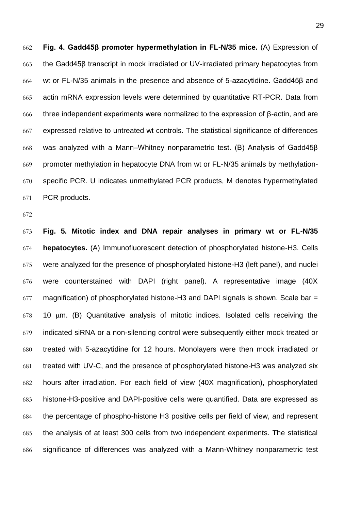**Fig. 4. Gadd45β promoter hypermethylation in FL-N/35 mice.** (A) Expression of the Gadd45β transcript in mock irradiated or UV-irradiated primary hepatocytes from wt or FL-N/35 animals in the presence and absence of 5-azacytidine. Gadd45β and actin mRNA expression levels were determined by quantitative RT-PCR. Data from 666 three independent experiments were normalized to the expression of  $\beta$ -actin, and are expressed relative to untreated wt controls. The statistical significance of differences was analyzed with a Mann–Whitney nonparametric test. (B) Analysis of Gadd45β promoter methylation in hepatocyte DNA from wt or FL-N/35 animals by methylation- specific PCR. U indicates unmethylated PCR products, M denotes hypermethylated PCR products.

 **Fig. 5. Mitotic index and DNA repair analyses in primary wt or FL-N/35 hepatocytes.** (A) Immunofluorescent detection of phosphorylated histone-H3. Cells were analyzed for the presence of phosphorylated histone-H3 (left panel), and nuclei were counterstained with DAPI (right panel). A representative image (40X magnification) of phosphorylated histone-H3 and DAPI signals is shown. Scale bar = 10  $\mu$ m. (B) Quantitative analysis of mitotic indices. Isolated cells receiving the indicated siRNA or a non-silencing control were subsequently either mock treated or treated with 5-azacytidine for 12 hours. Monolayers were then mock irradiated or treated with UV-C, and the presence of phosphorylated histone-H3 was analyzed six hours after irradiation. For each field of view (40X magnification), phosphorylated histone-H3-positive and DAPI-positive cells were quantified. Data are expressed as the percentage of phospho-histone H3 positive cells per field of view, and represent the analysis of at least 300 cells from two independent experiments. The statistical significance of differences was analyzed with a Mann-Whitney nonparametric test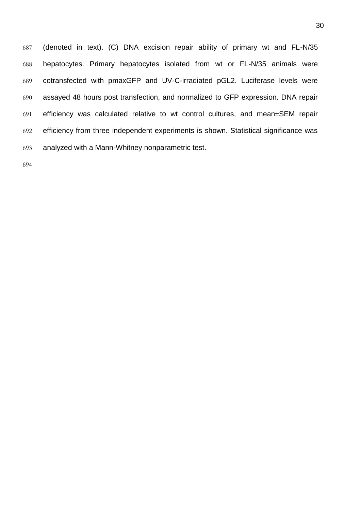(denoted in text). (C) DNA excision repair ability of primary wt and FL-N/35 hepatocytes. Primary hepatocytes isolated from wt or FL-N/35 animals were cotransfected with pmaxGFP and UV-C-irradiated pGL2. Luciferase levels were assayed 48 hours post transfection, and normalized to GFP expression. DNA repair efficiency was calculated relative to wt control cultures, and mean±SEM repair efficiency from three independent experiments is shown. Statistical significance was analyzed with a Mann-Whitney nonparametric test.